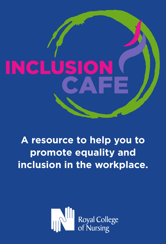

# **A resource to help you to promote equality and inclusion in the workplace.**

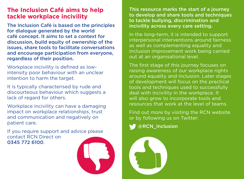### **The Inclusion Café aims to help tackle workplace incivility**

The Inclusion Café is based on the principles for dialogue generated by the world café concept. It aims to set a context for discussion, build equity of ownership of the issues, share tools to facilitate conversations and encourage participation from everyone, regardless of their position.

Workplace incivility is defined as lowintensity poor behaviour with an unclear intention to harm the target.

It is typically characterised by rude and discourteous behaviour which suggests a lack of regard for others.

Workplace incivility can have a damaging impact on workplace relationships, trust and communication and negatively on patient care.

If you require support and advice please contact RCN Direct on 0345 772 6100.



This resource marks the start of a journey to develop and share tools and techniques to tackle bullying, discrimination and incivility across every care setting.

In the long-term, it is intended to support interpersonal interventions around fairness as well as complementing equality and inclusion improvement work being carried out at an organisational level.

The first stage of this journey focuses on raising awareness of our workplace rights around equality and inclusion. Later stages of development will focus on the practical tools and techniques used to successfully deal with incivility in the workplace. It will also grow to incorporate tools and resources that work at the level of teams.

Find out more by visiting the RCN website or by following us on Twitter:

@RCN\_Inclusion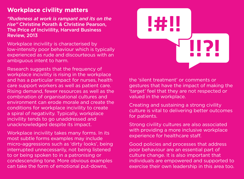# **Workplace civility matters**

*"Rudeness at work is rampant and its on the rise"* Christine Porath & Christine Pearson, The Price of Inciviility, Harvard Business Review, 2013

Workplace incivility is characterised by low-intensity poor behaviour which is typically experienced as rude and discourteous with an ambiguous intent to harm.

Research suggests that the frequency of workplace incivility is rising in the workplace and has a particular impact for nurses, health care support workers as well as patient care. Rising demand, fewer resources as well as the combination of organisational cultures and environment can erode morale and create the conditions for workplace incivility to create a spiral of negativity. Typically, workplace incivility tends to go unaddressed and unacknowledged despite its impact.

Workplace incivility takes many forms. In its most subtle forms examples may include micro-aggressions such as 'dirty looks', being interrupted unnecessarily, not being listened to or being spoken to in a patronising or condescending tone. More obvious examples can take the form of emotional put-downs,



the 'silent treatment' or comments or gestures that have the impact of making the 'target' feel that they are not respected or valued in the workplace.

Creating and sustaining a strong civility culture is vital to delivering better outcomes for patients.

Strong civility cultures are also associated with providing a more inclusive workplace experience for healthcare staff.

Good policies and processes that address poor behaviour are an essential part of culture change. It is also important that individuals are empowered and supported to exercise their own leadership in this area too.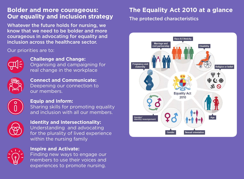# **Bolder and more courageous: Our equality and inclusion strategy**

Whatever the future holds for nursing, we know that we need to be bolder and more courageous in advocating for equality and inclusion across the healthcare sector.

#### Our priorities are to:



**Challenge and Change:**  Organising and campaigning for real change in the workplace



**Connect and Communicate:** Deepening our connection to our members.



#### **Equip and Inform:**

Sharing skills for promoting equality and inclusion with all our members.



**Identity and Intersectionality:**  Understanding and advocating for the plurality of lived experience within the nursing family



#### **Inspire and Activate:**

Finding new ways to engage our members to use their voices and experiences to promote nursing.

# **The Equality Act 2010 at a glance**

The protected characteristics

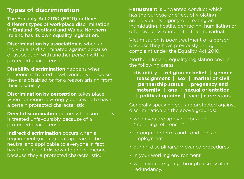# **Types of discrimination**

The Equality Act 2010 (EA10) outlines different types of workplace discrimination in England, Scotland and Wales. Northern Ireland has its own equality legislation.

**Discrimination by association** is when an individual is discriminated against because of association with another person with a protected characteristic.

**Disability discrimination** happens when someone is treated less-favourably because they are disabled or for a reason arising from their disability.

**Discrimination by perception** takes place when someone is wrongly perceived to have a certain protected characteristic

**Direct discrimination** occurs when somebody is treated unfavourably because of a protected characteristic

**Indirect discrimination** occurs when a requirement (or rule) that appears to be neutral and applicable to everyone in fact has the effect of disadvantaging someone because they a protected characteristic.

**Harassment** is unwanted conduct which has the purpose or effect of violating an individual's dignity or creating an intimidating, hostile, degrading, humiliating or offensive environment for that individual.

Victimisation is poor treatment of a person because they have previously brought a complaint under the Equality Act 2010.

Northern Ireland equality legislation covers the following areas.

**disability | religion or belief | gender reassignment | sex | marital or civil partnership status | pregnancy and maternity | age | sexual orientation | political opinion | race | carer staus**

Generally speaking you are protected against discrimination on the above grounds:

- when you are applying for a job (including references)
- through the terms and conditions of employment
- during disciplinary/grievance procedures
- in your working environment
- when you are going through dismissal or redundancy.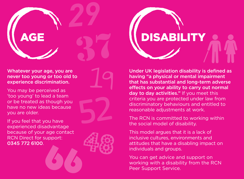

Whatever your age, you are never too young or too old to experience discrimination.

You may be perceived as 'too young' to lead a team or be treated as though you have no new ideas because you are older.

If you feel that you have experienced disadvantage because of your age contact RCN Direct for support: 0345 772 6100.







Under UK legislation disability is defined as having "a physical or mental impairment that has substantial and long-term adverse effects on your ability to carry out normal day to day activities." If you meet this criteria you are protected under law from discriminatory behaviours and entitled to reasonable adjustments at work.

The RCN is committed to working within the social model of disability.

This model argues that it is a lack of inclusive cultures, environments and attitudes that have a disabling impact on individuals and groups.

You can get advice and support on working with a disability from the RCN Peer Support Service.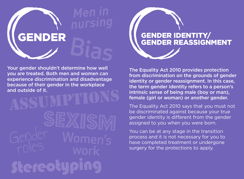



Your gender shouldn't determine how well you are treated. Both men and women can experience discrimination and disadvantage because of their gender in the workplace and outside of it.

Stereotyping **ASSUMPTIONS**  The Equality Act 2010 provides protection from discrimination on the grounds of gender identity or gender reassignment. In this case, the term gender identity refers to a person's intrinsic sense of being male (boy or man), female (girl or woman) or another gender.

The Equality Act 2010 says that you must not be discriminated against because your true gender identity is different from the gender assigned to you when you were born.

You can be at any stage in the transition process and it is not necessary for you to have completed treatment or undergone surgery for the protections to apply.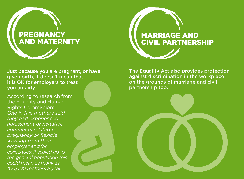



Just because you are pregnant, or have given birth, it doesn't mean that it is OK for employers to treat you unfairly.

According to research from the Equality and Human Rights Commission: *One in five mothers said they had experienced harassment or negative comments related to pregnancy or flexible working from their employer and/or colleagues; if scaled up to the general population this could mean as many as 100,000 mothers a year.*

The Equality Act also provides protection against discrimination in the workplace on the grounds of marriage and civil partnership too.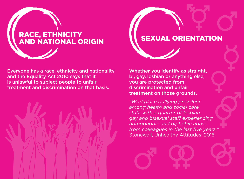

Everyone has a race. ethnicity and nationality and the Equality Act 2010 says that it is unlawful to subject people to unfair treatment and discrimination on that basis.



Whether you identify as straight, bi, gay, lesbian or anything else, you are protected from discrimination and unfair treatment on those grounds.

*"Workplace bullying prevalent among health and social care staff, with a quarter of lesbian, gay and bisexual staff experiencing homophobic and biphobic abuse from colleagues in the last five years."* Stonewall, Unhealthy Attitudes: 2015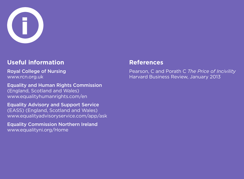

# **Useful information**

Royal College of Nursing www.rcn.org.uk

Equality and Human Rights Commission (England, Scotland and Wales) www.equalityhumanrights.com/en

Equality Advisory and Support Service (EASS) (England, Scotland and Wales) www.equalityadvisoryservice.com/app/ask

Equality Commission Northern Ireland www.equalityni.org/Home

### **References**

Pearson, C and Porath C *The Price of Incivility*  Harvard Business Review, January 2013